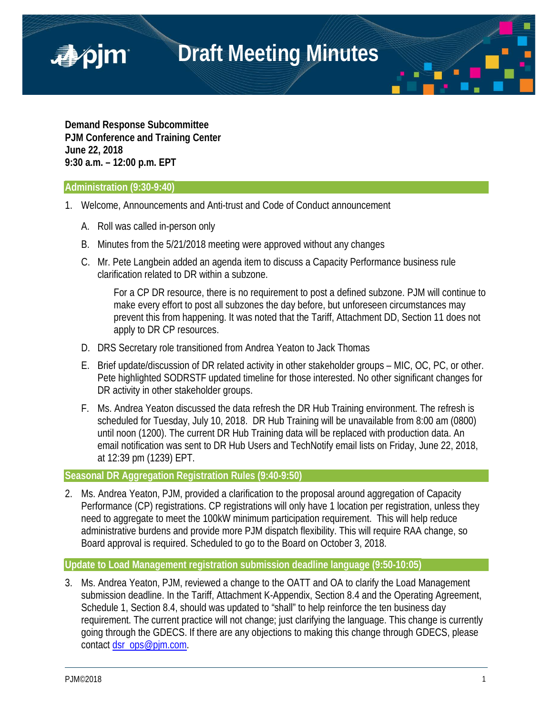

**Demand Response Subcommittee PJM Conference and Training Center June 22, 2018 9:30 a.m. – 12:00 p.m. EPT**

# **Administration (9:30-9:40)**

■pim

- 1. Welcome, Announcements and Anti-trust and Code of Conduct announcement
	- A. Roll was called in-person only
	- B. Minutes from the 5/21/2018 meeting were approved without any changes
	- C. Mr. Pete Langbein added an agenda item to discuss a Capacity Performance business rule clarification related to DR within a subzone.

For a CP DR resource, there is no requirement to post a defined subzone. PJM will continue to make every effort to post all subzones the day before, but unforeseen circumstances may prevent this from happening. It was noted that the Tariff, Attachment DD, Section 11 does not apply to DR CP resources.

- D. DRS Secretary role transitioned from Andrea Yeaton to Jack Thomas
- E. Brief update/discussion of DR related activity in other stakeholder groups MIC, OC, PC, or other. Pete highlighted SODRSTF updated timeline for those interested. No other significant changes for DR activity in other stakeholder groups.
- F. Ms. Andrea Yeaton discussed the data refresh the DR Hub Training environment. The refresh is scheduled for Tuesday, July 10, 2018. DR Hub Training will be unavailable from 8:00 am (0800) until noon (1200). The current DR Hub Training data will be replaced with production data. An email notification was sent to DR Hub Users and TechNotify email lists on Friday, June 22, 2018, at 12:39 pm (1239) EPT.

## **Seasonal DR Aggregation Registration Rules (9:40-9:50)**

2. Ms. Andrea Yeaton, PJM, provided a clarification to the proposal around aggregation of Capacity Performance (CP) registrations. CP registrations will only have 1 location per registration, unless they need to aggregate to meet the 100kW minimum participation requirement. This will help reduce administrative burdens and provide more PJM dispatch flexibility. This will require RAA change, so Board approval is required. Scheduled to go to the Board on October 3, 2018.

## **Update to Load Management registration submission deadline language (9:50-10:05)**

3. Ms. Andrea Yeaton, PJM, reviewed a change to the OATT and OA to clarify the Load Management submission deadline. In the Tariff, Attachment K-Appendix, Section 8.4 and the Operating Agreement, Schedule 1, Section 8.4, should was updated to "shall" to help reinforce the ten business day requirement. The current practice will not change; just clarifying the language. This change is currently going through the GDECS. If there are any objections to making this change through GDECS, please contact [dsr\\_ops@pjm.com.](mailto:dsr_ops@pjm.com)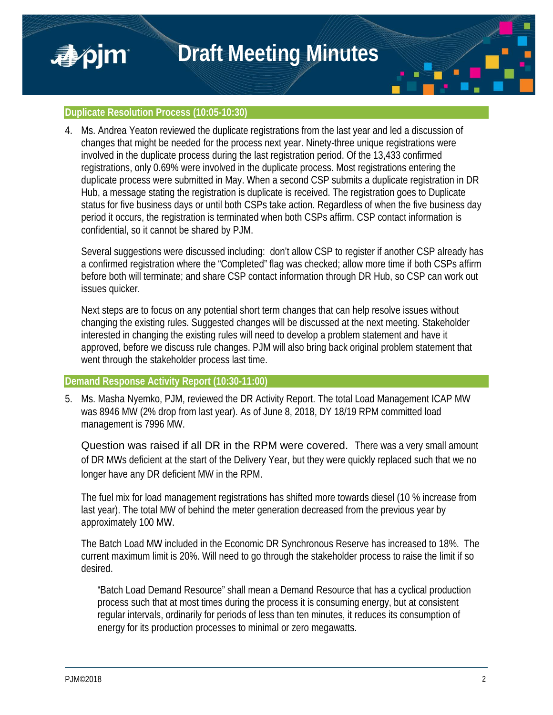

■pjm

4. Ms. Andrea Yeaton reviewed the duplicate registrations from the last year and led a discussion of changes that might be needed for the process next year. Ninety-three unique registrations were involved in the duplicate process during the last registration period. Of the 13,433 confirmed registrations, only 0.69% were involved in the duplicate process. Most registrations entering the duplicate process were submitted in May. When a second CSP submits a duplicate registration in DR Hub, a message stating the registration is duplicate is received. The registration goes to Duplicate status for five business days or until both CSPs take action. Regardless of when the five business day period it occurs, the registration is terminated when both CSPs affirm. CSP contact information is confidential, so it cannot be shared by PJM.

Several suggestions were discussed including: don't allow CSP to register if another CSP already has a confirmed registration where the "Completed" flag was checked; allow more time if both CSPs affirm before both will terminate; and share CSP contact information through DR Hub, so CSP can work out issues quicker.

Next steps are to focus on any potential short term changes that can help resolve issues without changing the existing rules. Suggested changes will be discussed at the next meeting. Stakeholder interested in changing the existing rules will need to develop a problem statement and have it approved, before we discuss rule changes. PJM will also bring back original problem statement that went through the stakeholder process last time.

## **Demand Response Activity Report (10:30-11:00)**

5. Ms. Masha Nyemko, PJM, reviewed the DR Activity Report. The total Load Management ICAP MW was 8946 MW (2% drop from last year). As of June 8, 2018, DY 18/19 RPM committed load management is 7996 MW.

Question was raised if all DR in the RPM were covered. There was a very small amount of DR MWs deficient at the start of the Delivery Year, but they were quickly replaced such that we no longer have any DR deficient MW in the RPM.

The fuel mix for load management registrations has shifted more towards diesel (10 % increase from last year). The total MW of behind the meter generation decreased from the previous year by approximately 100 MW.

The Batch Load MW included in the Economic DR Synchronous Reserve has increased to 18%. The current maximum limit is 20%. Will need to go through the stakeholder process to raise the limit if so desired.

"Batch Load Demand Resource" shall mean a Demand Resource that has a cyclical production process such that at most times during the process it is consuming energy, but at consistent regular intervals, ordinarily for periods of less than ten minutes, it reduces its consumption of energy for its production processes to minimal or zero megawatts.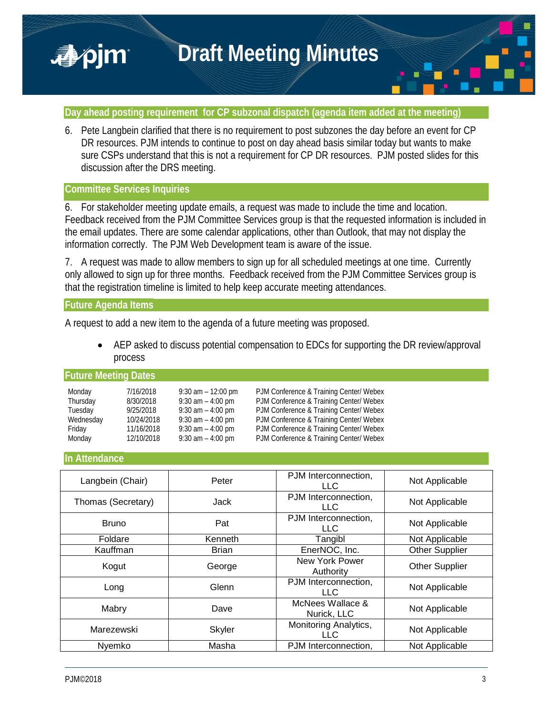

## **Day ahead posting requirement for CP subzonal dispatch (agenda item added at the meeting)**

6. Pete Langbein clarified that there is no requirement to post subzones the day before an event for CP DR resources. PJM intends to continue to post on day ahead basis similar today but wants to make sure CSPs understand that this is not a requirement for CP DR resources. PJM posted slides for this discussion after the DRS meeting.

# **Committee Services Inquiries**

■pjm

6. For stakeholder meeting update emails, a request was made to include the time and location. Feedback received from the PJM Committee Services group is that the requested information is included in the email updates. There are some calendar applications, other than Outlook, that may not display the information correctly. The PJM Web Development team is aware of the issue.

7. A request was made to allow members to sign up for all scheduled meetings at one time. Currently only allowed to sign up for three months. Feedback received from the PJM Committee Services group is that the registration timeline is limited to help keep accurate meeting attendances.

### **Future Agenda Items**

A request to add a new item to the agenda of a future meeting was proposed.

• AEP asked to discuss potential compensation to EDCs for supporting the DR review/approval process

#### **Future Meeting Dates**

| Monday    | 7/16/2018  | $9:30$ am $-12:00$ pm | PJM Conference & Training Center/ Webex |
|-----------|------------|-----------------------|-----------------------------------------|
| Thursday  | 8/30/2018  | $9:30$ am $-4:00$ pm  | PJM Conference & Training Center/ Webex |
| Tuesday   | 9/25/2018  | $9:30$ am $-4:00$ pm  | PJM Conference & Training Center/ Webex |
| Wednesday | 10/24/2018 | $9:30$ am $-4:00$ pm  | PJM Conference & Training Center/ Webex |
| Friday    | 11/16/2018 | $9:30$ am $-4:00$ pm  | PJM Conference & Training Center/ Webex |
| Monday    | 12/10/2018 | $9:30$ am $-4:00$ pm  | PJM Conference & Training Center/ Webex |

### **In Attendance**

| Langbein (Chair)   | Peter         | PJM Interconnection,<br>LLC.    | Not Applicable        |
|--------------------|---------------|---------------------------------|-----------------------|
| Thomas (Secretary) | Jack          | PJM Interconnection,<br>LLC.    | Not Applicable        |
| <b>Bruno</b>       | Pat           | PJM Interconnection,<br>LLC     | Not Applicable        |
| Foldare            | Kenneth       | Tangibl                         | Not Applicable        |
| Kauffman           | <b>Brian</b>  | EnerNOC, Inc.                   | <b>Other Supplier</b> |
| Kogut              | George        | New York Power<br>Authority     | <b>Other Supplier</b> |
| Long               | Glenn         | PJM Interconnection,<br>LLC.    | Not Applicable        |
| Mabry              | Dave          | McNees Wallace &<br>Nurick, LLC | Not Applicable        |
| Marezewski         | <b>Skyler</b> | Monitoring Analytics,<br>LLC.   | Not Applicable        |
| Nvemko             | Masha         | PJM Interconnection,            | Not Applicable        |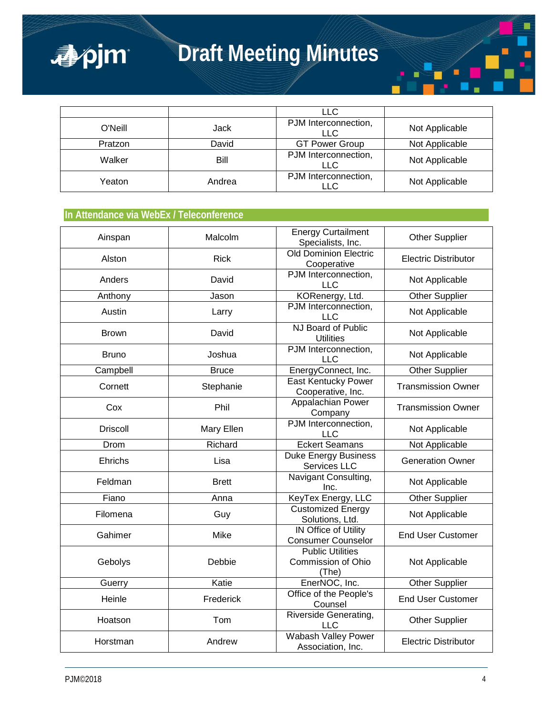

|         |        | <b>LLC</b>                         |                |
|---------|--------|------------------------------------|----------------|
| O'Neill | Jack   | PJM Interconnection,<br>LLC        | Not Applicable |
| Pratzon | David  | <b>GT Power Group</b>              | Not Applicable |
| Walker  | Bill   | PJM Interconnection,<br><b>LLC</b> | Not Applicable |
| Yeaton  | Andrea | PJM Interconnection,<br>LLC        | Not Applicable |

# **In Attendance via WebEx / Teleconference**

apjm

| Ainspan         | Malcolm      | <b>Energy Curtailment</b><br>Specialists, Inc.           | <b>Other Supplier</b>       |
|-----------------|--------------|----------------------------------------------------------|-----------------------------|
| Alston          | <b>Rick</b>  | <b>Old Dominion Electric</b><br>Cooperative              | <b>Electric Distributor</b> |
| Anders          | David        | PJM Interconnection,<br>LLC                              | Not Applicable              |
| Anthony         | Jason        | KORenergy, Ltd.                                          | Other Supplier              |
| Austin          | Larry        | PJM Interconnection,<br>LLC                              | Not Applicable              |
| <b>Brown</b>    | David        | NJ Board of Public<br><b>Utilities</b>                   | Not Applicable              |
| <b>Bruno</b>    | Joshua       | PJM Interconnection,<br>LLC                              | Not Applicable              |
| Campbell        | <b>Bruce</b> | EnergyConnect, Inc.                                      | <b>Other Supplier</b>       |
| Cornett         | Stephanie    | <b>East Kentucky Power</b><br>Cooperative, Inc.          | <b>Transmission Owner</b>   |
| Cox             | Phil         | Appalachian Power<br>Company                             | <b>Transmission Owner</b>   |
| <b>Driscoll</b> | Mary Ellen   | PJM Interconnection,<br><b>LLC</b>                       | Not Applicable              |
| Drom            | Richard      | <b>Eckert Seamans</b>                                    | Not Applicable              |
| Ehrichs         | Lisa         | <b>Duke Energy Business</b><br>Services LLC              | <b>Generation Owner</b>     |
| Feldman         | <b>Brett</b> | Navigant Consulting,<br>Inc.                             | Not Applicable              |
| Fiano           | Anna         | KeyTex Energy, LLC                                       | <b>Other Supplier</b>       |
| Filomena        | Guy          | <b>Customized Energy</b><br>Solutions, Ltd.              | Not Applicable              |
| Gahimer         | Mike         | <b>IN Office of Utility</b><br><b>Consumer Counselor</b> | <b>End User Customer</b>    |
| Gebolys         | Debbie       | <b>Public Utilities</b><br>Commission of Ohio<br>(The)   | Not Applicable              |
| Guerry          | Katie        | EnerNOC, Inc.                                            | <b>Other Supplier</b>       |
| Heinle          | Frederick    | Office of the People's<br>Counsel                        | <b>End User Customer</b>    |
| Hoatson         | Tom          | Riverside Generating,<br><b>LLC</b>                      | <b>Other Supplier</b>       |
| Horstman        | Andrew       | Wabash Valley Power<br>Association, Inc.                 | <b>Electric Distributor</b> |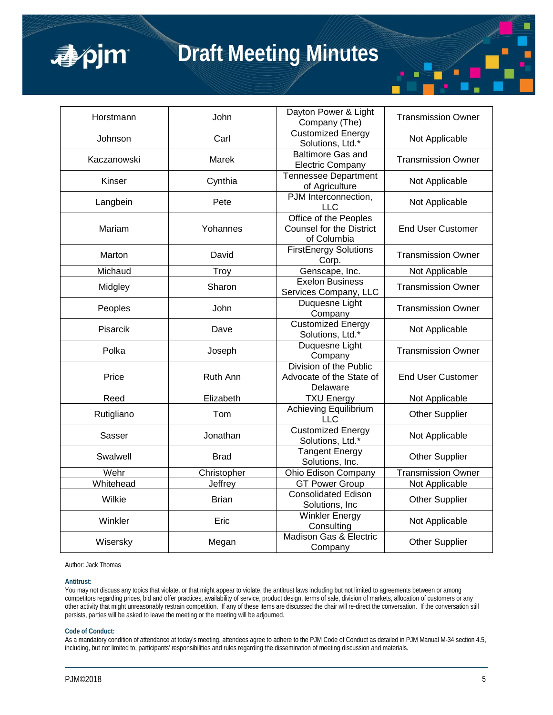

# **Draft Meeting Minutes**

| Horstmann   | John         | Dayton Power & Light<br>Company (The)                                   | <b>Transmission Owner</b> |
|-------------|--------------|-------------------------------------------------------------------------|---------------------------|
| Johnson     | Carl         | <b>Customized Energy</b><br>Solutions, Ltd.*                            | Not Applicable            |
| Kaczanowski | Marek        | <b>Baltimore Gas and</b><br><b>Electric Company</b>                     | <b>Transmission Owner</b> |
| Kinser      | Cynthia      | <b>Tennessee Department</b><br>of Agriculture                           | Not Applicable            |
| Langbein    | Pete         | PJM Interconnection,<br><b>LLC</b>                                      | Not Applicable            |
| Mariam      | Yohannes     | Office of the Peoples<br><b>Counsel for the District</b><br>of Columbia | <b>End User Customer</b>  |
| Marton      | David        | <b>FirstEnergy Solutions</b><br>Corp.                                   | <b>Transmission Owner</b> |
| Michaud     | Troy         | Genscape, Inc.                                                          | Not Applicable            |
| Midgley     | Sharon       | <b>Exelon Business</b><br>Services Company, LLC                         | <b>Transmission Owner</b> |
| Peoples     | John         | Duquesne Light<br>Company                                               | <b>Transmission Owner</b> |
| Pisarcik    | Dave         | <b>Customized Energy</b><br>Solutions, Ltd.*                            | Not Applicable            |
| Polka       | Joseph       | Duquesne Light<br>Company                                               | <b>Transmission Owner</b> |
| Price       | Ruth Ann     | Division of the Public<br>Advocate of the State of<br>Delaware          | <b>End User Customer</b>  |
| Reed        | Elizabeth    | <b>TXU Energy</b>                                                       | Not Applicable            |
| Rutigliano  | Tom          | <b>Achieving Equilibrium</b><br><b>LLC</b>                              | Other Supplier            |
| Sasser      | Jonathan     | <b>Customized Energy</b><br>Solutions, Ltd.*                            | Not Applicable            |
| Swalwell    | <b>Brad</b>  | <b>Tangent Energy</b><br>Solutions, Inc.                                | <b>Other Supplier</b>     |
| Wehr        | Christopher  | Ohio Edison Company                                                     | <b>Transmission Owner</b> |
| Whitehead   | Jeffrey      | <b>GT Power Group</b>                                                   | Not Applicable            |
| Wilkie      | <b>Brian</b> | <b>Consolidated Edison</b><br>Solutions, Inc.                           | Other Supplier            |
| Winkler     | Eric         | <b>Winkler Energy</b><br>Consulting                                     | Not Applicable            |
| Wisersky    | Megan        | Madison Gas & Electric<br>Company                                       | <b>Other Supplier</b>     |

Author: Jack Thomas

#### **Antitrust:**

You may not discuss any topics that violate, or that might appear to violate, the antitrust laws including but not limited to agreements between or among competitors regarding prices, bid and offer practices, availability of service, product design, terms of sale, division of markets, allocation of customers or any other activity that might unreasonably restrain competition. If any of these items are discussed the chair will re-direct the conversation. If the conversation still persists, parties will be asked to leave the meeting or the meeting will be adjourned.

#### **Code of Conduct:**

As a mandatory condition of attendance at today's meeting, attendees agree to adhere to the PJM Code of Conduct as detailed in PJM Manual M-34 section 4.5, including, but not limited to, participants' responsibilities and rules regarding the dissemination of meeting discussion and materials.